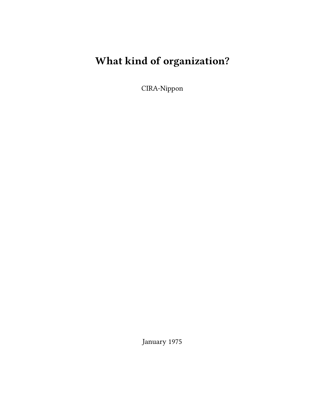# **What kind of organization?**

CIRA-Nippon

January 1975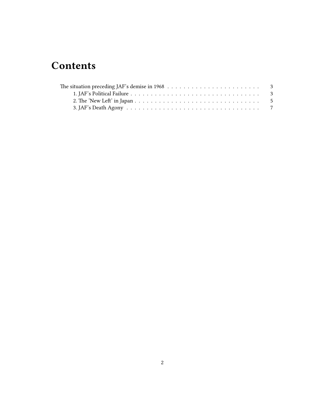# **Contents**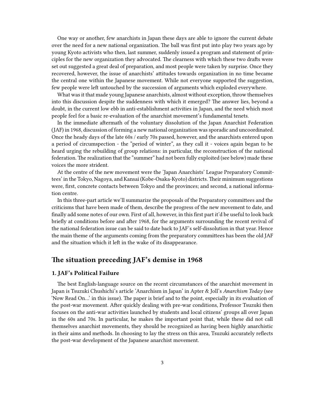One way or another, few anarchists in Japan these days are able to ignore the current debate over the need for a new national organization. The ball was first put into play two years ago by young Kyoto activists who then, last summer, suddenly issued a program and statement of principles for the new organization they advocated. The clearness with which these two drafts were set out suggested a great deal of preparation, and most people were taken by surprise. Once they recovered, however, the issue of anarchists' attitudes towards organization in no time became the central one within the Japanese movement. While not everyone supported the suggestion, few people were left untouched by the succession of arguments which exploded everywhere.

What was it that made young Japanese anarchists, almost without exception, throw themselves into this discussion despite the suddenness with which it emerged? The answer lies, beyond a doubt, in the current low ebb in anti-establishment activities in Japan, and the need which most people feel for a basic re-evaluation of the anarchist movement's fundamental tenets.

In the immediate aftermath of the voluntary dissolution of the Japan Anarchist Federation (JAF) in 1968, discussion of forming a new national organization was sporadic and uncoordinated. Once the heady days of the late 60s / early 70s passed, however, and the anarchists entered upon a period of circumspection - the "period of winter", as they call it - voices again began to be heard urging the rebuilding of group relations: in particular, the reconstruction of the national federation. The realization that the "summer" had not been fully exploited (see below) made these voices the more strident.

At the centre of the new movement were the 'Japan Anarchists' League Preparatory Committees' in the Tokyo, Nagoya, and Kansai (Kobe-Osaka-Kyoto) districts. Their minimum suggestions were, first, concrete contacts between Tokyo and the provinces; and second, a national information centre.

In this three-part article we'll summarize the proposals of the Preparatory committees and the criticisms that have been made of them, describe the progress of the new movement to date, and finally add some notes of our own. First of all, however, in this first part it'd be useful to look back briefly at conditions before and after 1968, for the arguments surrounding the recent revival of the national federation issue can be said to date back to JAF's self-dissolution in that year. Hence the main theme of the arguments coming from the preparatory committees has been the old JAF and the situation which it left in the wake of its disappearance.

### <span id="page-2-0"></span>**The situation preceding JAF's demise in 1968**

#### <span id="page-2-1"></span>**1. JAF's Political Failure**

The best English-language source on the recent circumstances of the anarchist movement in Japan is Tsuzuki Chushichi's article 'Anarchism in Japan' in Apter & Joll's *Anarchism Today* (see 'Now Read On…' in this issue). The paper is brief and to the point, especially in its evaluation of the post-war movement. After quickly dealing with pre-war conditions, Professor Tsuzuki then focuses on the anti-war activities launched by students and local citizens' groups all over Japan in the 60s and 70s. In particular, he makes the important point that, while these did not call themselves anarchist movements, they should be recognized as having been highly anarchistic in their aims and methods. In choosing to lay the stress on this area, Tsuzuki accurately reflects the post-war development of the Japanese anarchist movement.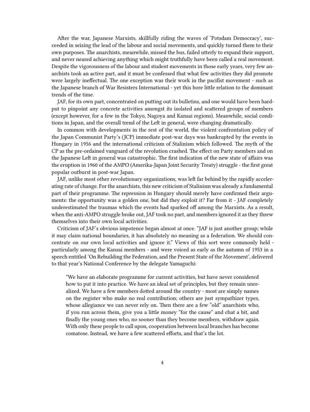After the war, Japanese Marxists, skillfully riding the waves of 'Potsdam Democracy', succeeded in seizing the lead of the labour and social movements, and quickly turned them to their own purposes. The anarchists, meanwhile, missed the bus, failed utterly to expand their support, and never neared achieving anything which might truthfully have been called a real movement. Despite the vigorousness of the labour and student movements in those early years, very few anarchists took an active part, and it must be confessed that what few activities they did promote were largely ineffectual. The one exception was their work in the pacifist movement - such as the Japanese branch of War Resisters International - yet this bore little relation to the dominant trends of the time.

JAF, for its own part, concentrated on putting out its bulletins, and one would have been hardput to pinpoint any concrete activities amongst its isolated and scattered groups of members (except however, for a few in the Tokyo, Nagoya and Kansai regions). Meanwhile, social conditions in Japan, and the overall trend of the Left in general, were changing dramatically.

In common with developments in the rest of the world, the violent confrontation policy of the Japan Communist Party's (JCP) immediate post-war days was bankrupted by the events in Hungary in 1956 and the international criticism of Stalinism which followed. The myth of the CP as the pre-ordained vanguard of the revolution crashed. The effect on Party members and on the Japanese Left in general was catastrophic. The first indication of the new state of affairs was the eruption in 1960 of the AMPO (Amerika-Japan Joint Security Treaty) struggle - the first great popular outburst in post-war Japan.

JAF, unlike most other revolutionary organizations, was left far behind by the rapidly accelerating rate of change. For the anarchists, this new criticism of Stalinism was already a fundamental part of their programme. The repression in Hungary should merely have confirmed their arguments: the opportunity was a golden one, but did they exploit it? Far from it - JAF completely underestimated the traumas which the events had sparked off among the Marxists. As a result, when the anti-AMPO struggle broke out, JAF took no part, and members ignored it as they threw themselves into their own local activities.

Criticism of JAF's obvious impotence began almost at once. "JAF is just another group; while it may claim national boundaries, it has absolutely no meaning as a federation. We should concentrate on our own local activities and ignore it." Views of this sort were commonly held particularly among the Kansai members - and were voiced as early as the autumn of 1953 in a speech entitled 'On Rebuilding the Federation, and the Present State of the Movement', delivered to that year's National Conference by the delegate Yamaguchi:

"We have an elaborate programme for current activities, but have never considered how to put it into practice. We have an ideal set of principles, but they remain unrealized. We have a few members dotted around the country - most are simply names on the register who make no real contribution; others are just sympathizer types, whose allegiance we can never rely on. Then there are a few "old" anarchists who, if you run across them, give you a little money "for the cause" and chat a bit, and finally the young ones who, no sooner than they become members, withdraw again. With only these people to call upon, cooperation between local branches has become comatose. Instead, we have a few scattered efforts, and that's the lot.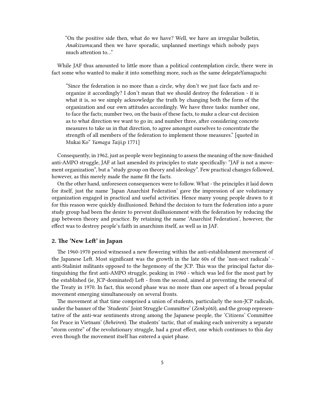"On the positive side then, what do we have? Well, we have an irregular bulletin, *Anakizumu*;and then we have sporadic, unplanned meetings which nobody pays much attention to…"

While JAF thus amounted to little more than a political contemplation circle, there were in fact some who wanted to make it into something more, such as the same delegateYamaguchi:

"Since the federation is no more than a circle, why don't we just face facts and reorganize it accordingly? I don't mean that we should destroy the federation - it is what it is, so we simply acknowledge the truth by changing both the form of the organization and our own attitudes accordingly. We have three tasks: number one, to face the facts; number two, on the basis of these facts, to make a clear-cut decision as to what direction we want to go in; and number three, after considering concrete measures to take us in that direction, to agree amongst ourselves to concentrate the strength of all members of the federation to implement those measures." [quoted in Mukai Ko" *Yamaga Taiji*,p 1771]

Consequently, in 1962, just as people were beginning to assess the meaning of the now-finished anti-AMPO struggle, JAF at last amended its principles to state specifically: "JAF is not a movement organization", but a "study group on theory and ideology". Few practical changes followed, however, as this merely made the name fit the facts.

On the other hand, unforeseen consequences were to follow. What - the principles it laid down for itself, just the name 'Japan Anarchist Federation' gave the impression of are volutionary organization engaged in practical and useful activities. Hence many young people drawn to it for this reason were quickly disillusioned. Behind the decision to turn the federation into a pure study group had been the desire to prevent disillusionment with the federation by reducing the gap between theory and practice. By retaining the name 'Anarchist Federation', however, the effect was to destroy people's faith in anarchism itself, as well as in JAF.

#### <span id="page-4-0"></span>**2. The 'New Left' in Japan**

The 1960-1970 period witnessed a new flowering within the anti-establishment movement of the Japanese Left. Most significant was the growth in the late 60s of the 'non-sect radicals' anti-Stalinist militants opposed to the hegemony of the JCP. This was the principal factor distinguishing the first anti-AMPO struggle, peaking in 1960 - which was led for the most part by the established (ie, JCP-dominated) Left - from the second, aimed at preventing the renewal of the Treaty in 1970. In fact, this second phase was no more than one aspect of a broad popular movement emerging simultaneously on several fronts.

The movement at that time comprised a union of students, particularly the non-JCP radicals, under the banner of the 'Students' Joint Struggle Committee' (*Zenkyõtõ*), and the group representative of the anti-war sentiments strong among the Japanese people, the 'Citizens' Committee for Peace in Vietnam' (*Beheiren*). The students' tactic, that of making each university a separate "storm centre" of the revolutionary struggle, had a great effect, one which continues to this day even though the movement itself has entered a quiet phase.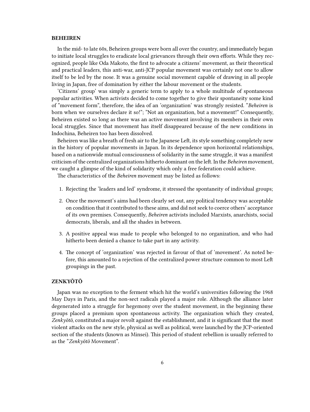#### **BEHEIREN**

In the mid- to late 60s, Beheiren groups were born all over the country, and immediately began to initiate local struggles to eradicate local grievances through their own efforts. While they recognized, people like Oda Makoto, the first to advocate a citizens' movement, as their theoretical and practical leaders, this anti-war, anti-JCP popular movement was certainly not one to allow itself to be led by the nose. It was a genuine social movement capable of drawing in all people living in Japan, free of domination by either the labour movement or the students.

'Citizens' group' was simply a generic term to apply to a whole multitude of spontaneous popular activities. When activists decided to come together to give their spontaneity some kind of "movement form", therefore, the idea of an 'organization' was strongly resisted. "*Beheiren* is born when we ourselves declare it so!"; "Not an organization, but a movement!" Consequently, Beheiren existed so long as there was an active movement involving its members in their own local struggles. Since that movement has itself disappeared because of the new conditions in Indochina, Beheiren too has been dissolved.

Beheiren was like a breath of fresh air to the Japanese Left, its style something completely new in the history of popular movements in Japan. In its dependence upon horizontal relationships, based on a nationwide mutual consciousness of solidarity in the same struggle, it was a manifest criticism of the centralized organizations hitherto dominant on the left. In the *Beheiren* movement, we caught a glimpse of the kind of solidarity which only a free federation could achieve.

The characteristics of the *Beheiren* movement may be listed as follows:

- 1. Rejecting the 'leaders and led' syndrome, it stressed the spontaneity of individual groups;
- 2. Once the movement's aims had been clearly set out, any political tendency was acceptable on condition that it contributed to these aims, and did not seek to coerce others' acceptance of its own premises. Consequently, *Beheiren* activists included Marxists, anarchists, social democrats, liberals, and all the shades in between.
- 3. A positive appeal was made to people who belonged to no organization, and who had hitherto been denied a chance to take part in any activity.
- 4. The concept of 'organization' was rejected in favour of that of 'movement'. As noted before, this amounted to a rejection of the centralized power structure common to most Left groupings in the past.

#### **ZENKYÕTÕ**

Japan was no exception to the ferment which hit the world's universities following the 1968 May Days in Paris, and the non-sect radicals played a major role. Although the alliance later degenerated into a struggle for hegemony over the student movement, in the beginning these groups placed a premium upon spontaneous activity. The organization which they created, *Zenkyõtõ*, constituted a major revolt against the establishment, and it is significant that the most violent attacks on the new style, physical as well as political, were launched by the JCP-oriented section of the students (known as Minsei). This period of student rebellion is usually referred to as the "*Zenkyõtõ* Movement".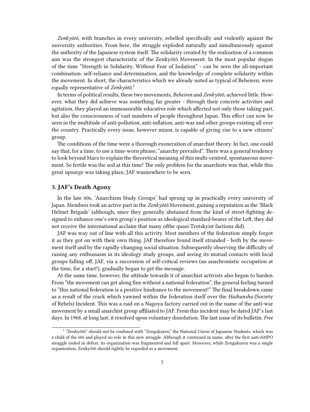*Zenkyõtõ*, with branches in every university, rebelled specifically and violently against the university authorities. From here, the struggle exploded naturally and simultaneously against the authority of the Japanese system itself. The solidarity created by the realization of a common aim was the strongest characteristic of the Zenkyõtõ Movement. In the most popular slogan of the time "Strength in Solidarity, Without Fear of Isolation" - can be seen the all-important combination: self-reliance and determination, and the knowledge of complete solidarity within the movement. In short, the characteristics which we already noted as typical of Beheiren, were equally representative of *Zenkyõtõ*. 1

In terms of political results, these two movements, *Beheiren* and *Zenkyõtõ*, achieved little. However, what they did achieve was something far greater - through their concrete activities and agitation, they played an immeasurable educative role which affected not only those taking part, but also the consciousness of vast numbers of people throughout Japan. This effect can now be seen in the multitude of anti-pollution, anti-inflation, anti-war and other groups existing all over the country. Practically every issue, however minor, is capable of giving rise to a new citizens' group.

The conditions of the time were a thorough exoneration of anarchist theory. In fact, one could say that, for a time, to use a time-worn phrase, "anarchy prevailed". There was a general tendency to look beyond Marx to explain the theoretical meaning of this multi-centred, spontaneous movement. So fertile was the soil at this time! The only problem for the anarchists was that, while this great upsurge was taking place, JAF wasnowhere to be seen.

#### <span id="page-6-0"></span>**3. JAF's Death Agony**

In the late 60s, 'Anarchism Study Groups' had sprung up in practically every university of Japan. Members took an active part in the *Zenkyõtõ* Movement, gaining a reputation as the 'Black Helmet Brigade' (although, since they generally abstained from the kind of street-fighting designed to enhance one's own group's position as ideological standard-bearer of the Left, they did not receive the international acclaim that many ofthe quasi-Trotskyist factions did).

JAF was way out of line with all this activity. Most members of the federation simply forgot it as they got on with their own thing. JAF therefore found itself stranded - both by the movement itself and by the rapidly-changing social situation. Subsequently observing the difficulty of raising any enthusiasm in its ideology study groups, and seeing its mutual contacts with local groups falling off, JAF, via a succession of self-critical reviews (an anachronistic occupation at the time, for a start!), gradually began to get the message.

At the same time, however, the attitude towards it of anarchist activists also began to harden. From "the movement can get along fine without a national federation", the general feeling turned to "this national federation is a positive hindrance to the movement!" The final breakdown came as a result of the crack which yawned within the federation itself over the *Haihansha* (Society of Rebels) Incident. This was a raid on a Nagoya factory carried out in the name of the anti-war movement by a small anarchist group affiliated to JAF. From this incident may be dated JAF's last days. In 1968, at long last, it resolved upon voluntary dissolution. The last issue of its bulletin, *Free*

<sup>&</sup>lt;sup>1</sup> "Zenkyõtõ" should not be confused with "Zengakuren," the National Union of Japanese Students, which was a child of the 60s and played no role in this new struggle. Although it continued in name, after the first anti-AMPO struggle ended in defeat, its organization was fragmented and fell apart. Moreover, while Zengakuren was a single organization, Zenkyõtõ should rightly be regarded as a movement.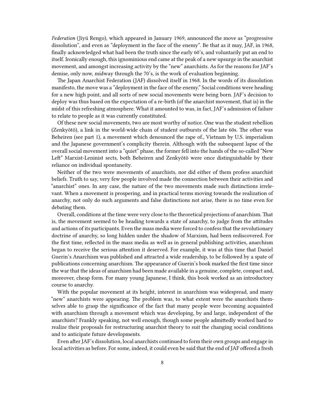*Federation* (Jiyü Rengo), which appeared in January 1969, announced the move as "progressive dissolution", and even as "deployment in the face of the enemy". Be that as it may, JAF, in 1968, finally acknowledged what had been the truth since the early 60's, and voluntarily put an end to itself. Ironically enough, this ignominious end came at the peak of a new upsurge in the anarchist movement, and amongst increasing activity by the "new" anarchists. As for the reasons for JAF's demise, only now, midway through the 70's, is the work of evaluation beginning.

The Japan Anarchist Federation (JAF) dissolved itself in 1968. In the words of its dissolution manifesto, the move was a "deployment in the face of the enemy." Social conditions were heading for a new high point, and all sorts of new social movements were being born. JAF's decision to deploy was thus based on the expectation of a re-birth (of the anarchist movement, that is) in the midst of this refreshing atmosphere. What it amounted to was, in fact, JAF's admission of failure to relate to people as it was currently constituted.

Of these new social movements, two are most worthy of notice. One was the student rebellion (Zenkyõtõ), a link in the world-wide chain of student outbursts of the late 60s. The other was Beheiren (see part 1), a movement which denounced the rape of., Vietnam by U.S. imperialism and the Japanese government's complicity therein. Although with the subsequent lapse of the overall social movement into a "quiet" phase, the former fell into the hands of the so-called "New Left" Marxist-Leninist sects, both Beheiren and Zenkyõtõ were once distinguishable by their reliance on individual spontaneity.

Neither of the two were movements of anarchists, nor did either of them profess anarchist beliefs. Truth to say, very few people involved made the connection between their activities and "anarchist" ones. In any case, the nature of the two movements made such distinctions irrelevant. When a movement is prospering, and in practical terms moving towards the realization of anarchy, not only do such arguments and false distinctions not arise, there is no time even for debating them.

Overall, conditions at the time were very close to the theoretical projections of anarchism. That is, the movement seemed to be heading towards a state of anarchy, to judge from the attitudes and actions of its participants. Even the mass media were forced to confess that the revolutionary doctrine of anarchy, so long hidden under the shadow of Marxism, had been rediscovered. For the first time, reflected in the mass media as well as in general publishing activities, anarchism began to receive the serious attention it deserved. For example, it was at this time that Daniel Guerin's Anarchism was published and attracted a wide readership, to be followed by a spate of publications concerning anarchism. The appearance of Guerin's book marked the first time since the war that the ideas of anarchism had been made available in a genuine, complete, compact and, moreover, cheap form. For many young Japanese, I think, this book worked as an introductory course to anarchy.

With the popular movement at its height, interest in anarchism was widespread, and many "new" anarchists were appearing. The problem was, to what extent were the anarchists themselves able to grasp the significance of the fact that many people were becoming acquainted with anarchism through a movement which was developing, by and large, independent of the anarchists? Frankly speaking, not well enough, though some people admittedly worked hard to realize their proposals for restructuring anarchist theory to suit the changing social conditions and to anticipate future developments.

Even after JAF's dissolution, local anarchists continued to form their own groups and engage in local activities as before. For some, indeed, it could even be said that the end of JAF offered a fresh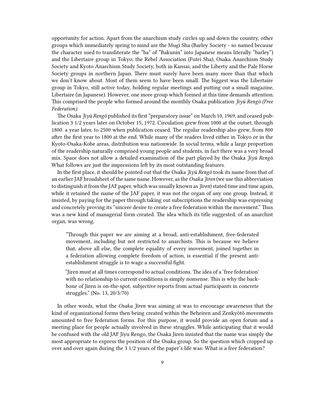opportunity for action. Apart from the anarchism study circles up and down the country, other groups which immediately spring to mind are the Mugi Sha (Barley Society - so named because the character used to transliterate the "ba" of "Bakunin" into Japanese means literally "barley") and the Libertaire group in Tokyo; the Rebel Association (Futei Sha), Osaka Anarchism Study Society and Kyoto Anarchism Study Society, both in Kansai; and the Liberty and the Pale Horse Society groups in northern Japan. There must surely have been many more than that which we don't know about. Most of them seem to have been small. The biggest was the Libertaire group in Tokyo, still active today, holding regular meetings and putting out a small magazine, Libertaire (in Japanese). However, one more group which formed at this time demands attention. This comprised the people who formed around the monthly Osaka publication *Jiyü Rengõ (Free Federation)*.

The Osaka *Jiyü Rengõ* published its first "preparatory issue" on March 10, 1969, and ceased publication 3 1/2 years later on October 15, 1972. Circulation grew from 1000 at the outset, through 1800. a year later, to 2500 when publication ceased. The regular readership also grew, from 800 after the first year to 1800 at the end. While many of the readers lived either in Tokyo or in the Kyoto-Osaka-Kobe areas, distribution was nationwide. In social terms, while a large proportion of the readership naturally comprised young people and students, in fact there was a very broad mix. Space does not allow a detailed examination of the part played by the Osaka *Jiyü Rengõ*. What follows are just the impressions left by its most outstanding features.

In the first place, it should be pointed out that the Osaka *Jiyü Rengõ* took its name from that of an earlier JAF broadsheet of the same name. However, as the *Osaka Jiren* (we use this abbreviation to distinguish it from the JAF paper, which was usually known as *Jiren*) stated time and time again, while it retained the name of the JAF paper, it was not the organ of any one group. Instead, it insisted, by paying for the paper through taking out subscriptions the readership was expressing and concretely proving its "sincere desire to create a free federation within the movement." Thus was a new kind of managerial form created. The idea which its title suggested, of an anarchist organ, was wrong.

"Through this paper we are aiming at a broad, anti-establishment, free-federated movement, including but not restricted to anarchists. This is because we believe that, above all else, the complete equality of every movement, joined together in a federation allowing complete freedom of action, is essential if the present antiestablishment struggle is to wage a successful fight.

"Jiren must at all times correspond to actual conditions. The idea of a 'free federation' with no relationship to current conditions is simply nonsense. This is why the backbone of Jiren is on-the-spot, subjective reports from actual participants in concrete struggles." (No. 13, 20/3/70)

In other words, what the *Osaka Jiren* was aiming at was to encourage awarenesss that the kind of organizational forms then being created within the Beheiren and Zenkyõtõ movements amounted to free federation forms. For this purpose, it would provide an open forum and a meeting place for people actually involved in these struggles. While anticipating that it would be confused with the old JAF Jiyu Rengo, the Osaka Jiren insisted that the name was simply the most appropriate to express the position of the Osaka group. So the question which cropped up over and over again during the 3 1/2 years of the paper's life was: What is a free federation?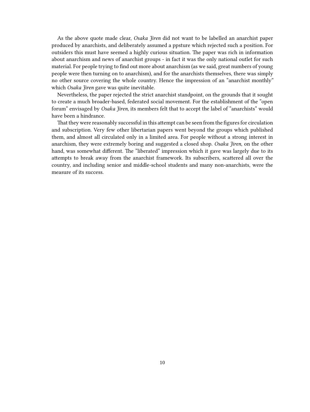As the above quote made clear, *Osaka Jiren* did not want to be labelled an anarchist paper produced by anarchists, and deliberately assumed a ppsture which rejected such a position. For outsiders this must have seemed a highly curious situation. The paper was rich in information about anarchism and news of anarchist groups - in fact it was the only national outlet for such material. For people trying to find out more about anarchism (as we said, great numbers of young people were then turning on to anarchism), and for the anarchists themselves, there was simply no other source covering the whole country. Hence the impression of an "anarchist monthly" which *Osaka Jiren* gave was quite inevitable.

Nevertheless, the paper rejected the strict anarchist standpoint, on the grounds that it sought to create a much broader-based, federated social movement. For the establishment of the "open forum" envisaged by *Osaka Jiren*, its members felt that to accept the label of "anarchists" would have been a hindrance.

That they were reasonably successful in this attempt can be seen from the figures for circulation and subscription. Very few other libertarian papers went beyond the groups which published them, and almost all circulated only in a limited area. For people without a strong interest in anarchism, they were extremely boring and suggested a closed shop. *Osaka Jiren*, on the other hand, was somewhat different. The "liberated" impression which it gave was largely due to its attempts to break away from the anarchist framework. Its subscribers, scattered all over the country, and including senior and middle-school students and many non-anarchists, were the measure of its success.